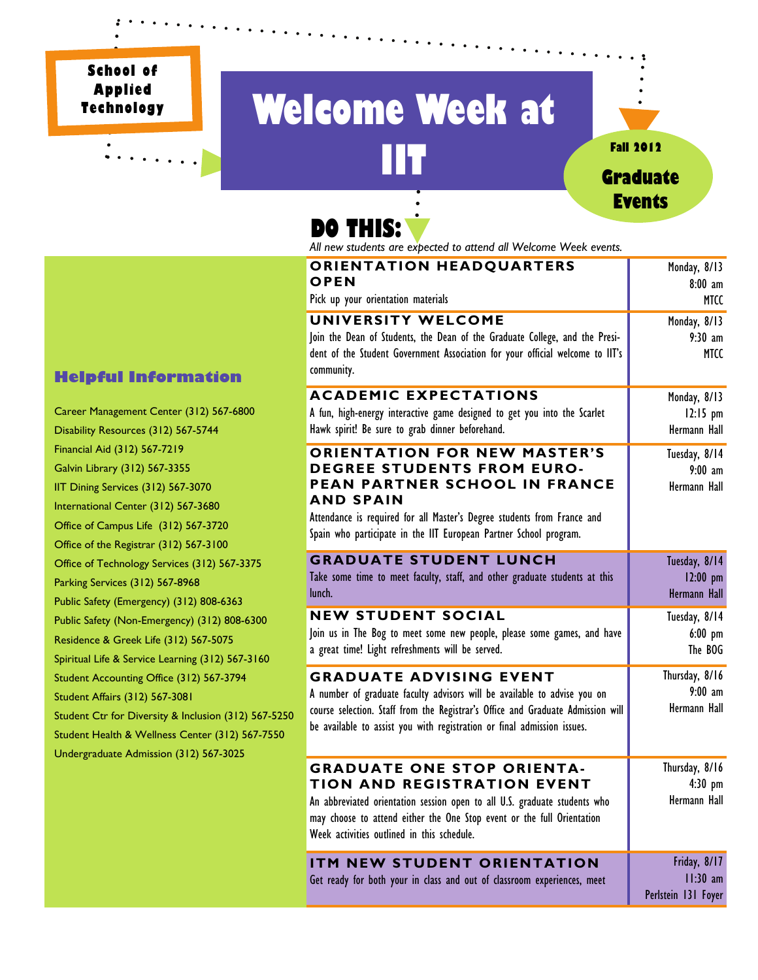**School of Applied Technology** 

# **Welcome Week at IIT Fall 2012**<br>**Cradua**



# **DO THIS:**

*All new students are expected to attend all Welcome Week events.* 

| <b>ORIENTATION HEADQUARTERS</b><br>OPEN                                                                                                                                                                                                                                       | Monday, 8/13<br>$8:00$ am                         |
|-------------------------------------------------------------------------------------------------------------------------------------------------------------------------------------------------------------------------------------------------------------------------------|---------------------------------------------------|
| Pick up your orientation materials                                                                                                                                                                                                                                            | MTCC                                              |
| UNIVERSITY WELCOME<br>Join the Dean of Students, the Dean of the Graduate College, and the Presi-<br>dent of the Student Government Association for your official welcome to IIT's<br>community.                                                                              | Monday, 8/13<br>$9:30$ am<br>MTCC                 |
| <b>ACADEMIC EXPECTATIONS</b><br>A fun, high-energy interactive game designed to get you into the Scarlet<br>Hawk spirit! Be sure to grab dinner beforehand.                                                                                                                   | Monday, 8/13<br>$12:15$ pm<br>Hermann Hall        |
| <b>ORIENTATION FOR NEW MASTER'S</b><br><b>DEGREE STUDENTS FROM EURO-</b><br>PEAN PARTNER SCHOOL IN FRANCE<br><b>AND SPAIN</b><br>Attendance is required for all Master's Degree students from France and<br>Spain who participate in the IIT European Partner School program. | Tuesday, 8/14<br>$9:00$ am<br>Hermann Hall        |
| <b>GRADUATE STUDENT LUNCH</b><br>Take some time to meet faculty, staff, and other graduate students at this<br>lunch.                                                                                                                                                         | Tuesday, 8/14<br>$12:00$ pm<br>Hermann Hall       |
| <b>NEW STUDENT SOCIAL</b><br>Join us in The Bog to meet some new people, please some games, and have<br>a great time! Light refreshments will be served.                                                                                                                      | Tuesday, 8/14<br>$6:00$ pm<br>The BOG             |
| <b>GRADUATE ADVISING EVENT</b><br>A number of graduate faculty advisors will be available to advise you on<br>course selection. Staff from the Registrar's Office and Graduate Admission will<br>be available to assist you with registration or final admission issues.      | Thursday, 8/16<br>$9:00$ am<br>Hermann Hall       |
| <b>GRADUATE ONE STOP ORIENTA-</b><br><b>TION AND REGISTRATION EVENT</b><br>An abbreviated orientation session open to all U.S. graduate students who<br>may choose to attend either the One Stop event or the full Orientation<br>Week activities outlined in this schedule.  | Thursday, 8/16<br>$4:30$ pm<br>Hermann Hall       |
| ITM NEW STUDENT ORIENTATION<br>Get ready for both your in class and out of classroom experiences, meet                                                                                                                                                                        | Friday, 8/17<br>$11:30$ am<br>Perlstein 131 Foyer |

### **Helpful Information**

Career Management Center (312) 567-6800 Disability Resources (312) 567-5744 Financial Aid (312) 567-7219 Galvin Library (312) 567-3355 IIT Dining Services (312) 567-3070 International Center (312) 567-3680 Office of Campus Life (312) 567-3720 Office of the Registrar (312) 567-3100 Office of Technology Services (312) 567-3375 Parking Services (312) 567-8968 Public Safety (Emergency) (312) 808-6363 Public Safety (Non-Emergency) (312) 808-6300 Residence & Greek Life (312) 567-5075 Spiritual Life & Service Learning (312) 567-3160 Student Accounting Office (312) 567-3794 Student Affairs (312) 567-3081 Student Ctr for Diversity & Inclusion (312) 567-5250 Student Health & Wellness Center (312) 567-7550 Undergraduate Admission (312) 567-3025